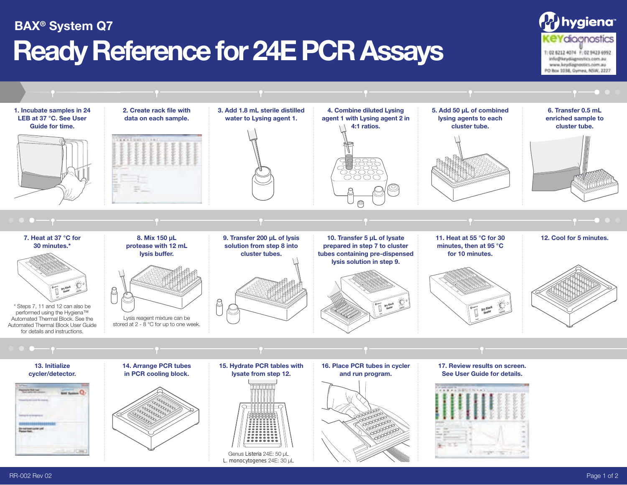## **Ready Reference for 24E PCR Assays BAX® System Q7**



hygiena<sup>®</sup>

**KeYdioanostics** T: 02 6212 4074 F: 02 9423 6992 info@keydiagnoutics.com.au www.keydiagnostics.com.au PO Box 1038, Gymea, NSW, 2227